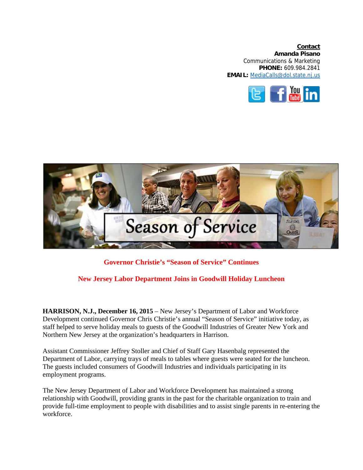**Contact Amanda Pisano**  Communications & Marketing **PHONE:** 609.984.2841 **EMAIL:** MediaCalls@dol.state.nj.us





**Governor Christie's "Season of Service" Continues** 

## **New Jersey Labor Department Joins in Goodwill Holiday Luncheon**

**HARRISON, N.J., December 16, 2015** – New Jersey's Department of Labor and Workforce Development continued Governor Chris Christie's annual "Season of Service" initiative today, as staff helped to serve holiday meals to guests of the Goodwill Industries of Greater New York and Northern New Jersey at the organization's headquarters in Harrison.

Assistant Commissioner Jeffrey Stoller and Chief of Staff Gary Hasenbalg represented the Department of Labor, carrying trays of meals to tables where guests were seated for the luncheon. The guests included consumers of Goodwill Industries and individuals participating in its employment programs.

The New Jersey Department of Labor and Workforce Development has maintained a strong relationship with Goodwill, providing grants in the past for the charitable organization to train and provide full-time employment to people with disabilities and to assist single parents in re-entering the workforce.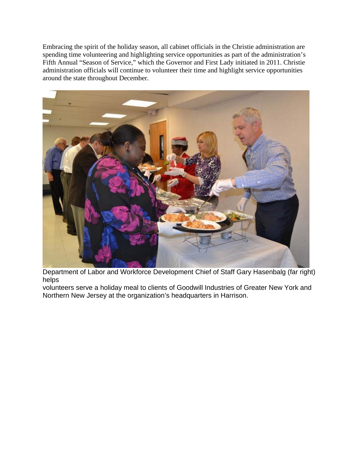Embracing the spirit of the holiday season, all cabinet officials in the Christie administration are spending time volunteering and highlighting service opportunities as part of the administration's Fifth Annual "Season of Service," which the Governor and First Lady initiated in 2011. Christie administration officials will continue to volunteer their time and highlight service opportunities around the state throughout December.



Department of Labor and Workforce Development Chief of Staff Gary Hasenbalg (far right) helps

volunteers serve a holiday meal to clients of Goodwill Industries of Greater New York and Northern New Jersey at the organization's headquarters in Harrison.